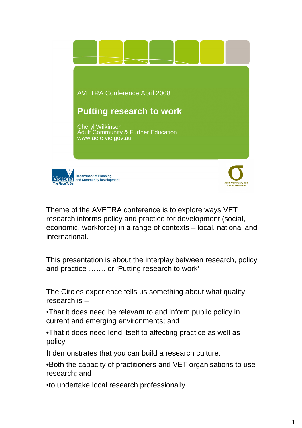

Theme of the AVETRA conference is to explore ways VET research informs policy and practice for development (social, economic, workforce) in a range of contexts – local, national and international.

This presentation is about the interplay between research, policy and practice ……. or 'Putting research to work'

The Circles experience tells us something about what quality research is –

•That it does need be relevant to and inform public policy in current and emerging environments; and

•That it does need lend itself to affecting practice as well as policy

It demonstrates that you can build a research culture:

•Both the capacity of practitioners and VET organisations to use research; and

•to undertake local research professionally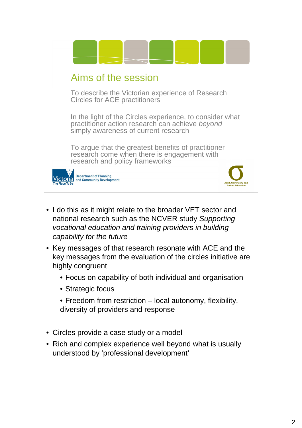

- I do this as it might relate to the broader VET sector and national research such as the NCVER study Supporting vocational education and training providers in building capability for the future
- Key messages of that research resonate with ACE and the key messages from the evaluation of the circles initiative are highly congruent
	- Focus on capability of both individual and organisation
	- Strategic focus
	- Freedom from restriction local autonomy, flexibility, diversity of providers and response
- Circles provide a case study or a model
- Rich and complex experience well beyond what is usually understood by 'professional development'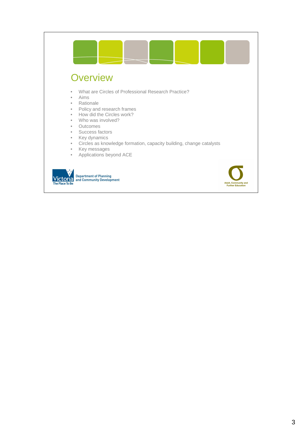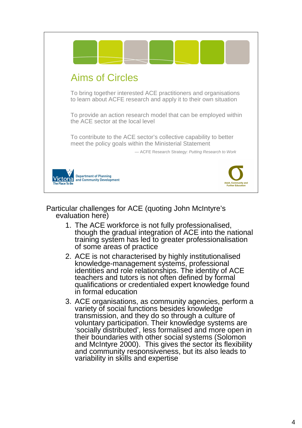

#### Particular challenges for ACE (quoting John McIntyre's evaluation here)

- 1. The ACE workforce is not fully professionalised, though the gradual integration of ACE into the national training system has led to greater professionalisation of some areas of practice
- 2. ACE is not characterised by highly institutionalised knowledge-management systems, professional identities and role relationships. The identity of ACE teachers and tutors is not often defined by formal qualifications or credentialed expert knowledge found in formal education
- 3. ACE organisations, as community agencies, perform a variety of social functions besides knowledge transmission, and they do so through a culture of voluntary participation. Their knowledge systems are 'socially distributed', less formalised and more open in their boundaries with other social systems (Solomon and McIntyre 2000). This gives the sector its flexibility and community responsiveness, but its also leads to variability in skills and expertise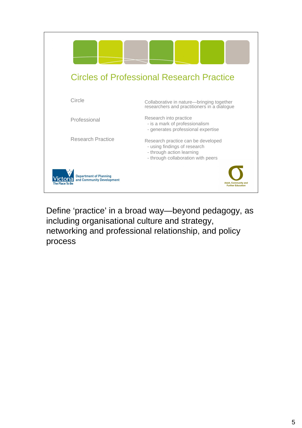

Define 'practice' in a broad way—beyond pedagogy, as including organisational culture and strategy, networking and professional relationship, and policy process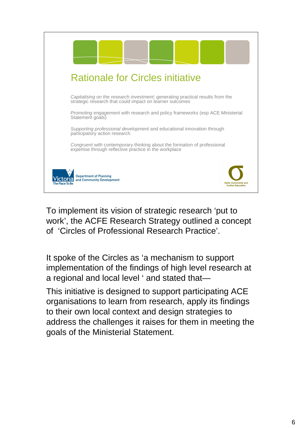

To implement its vision of strategic research 'put to work', the ACFE Research Strategy outlined a concept of 'Circles of Professional Research Practice'.

It spoke of the Circles as 'a mechanism to support implementation of the findings of high level research at a regional and local level ' and stated that—

This initiative is designed to support participating ACE organisations to learn from research, apply its findings to their own local context and design strategies to address the challenges it raises for them in meeting the goals of the Ministerial Statement.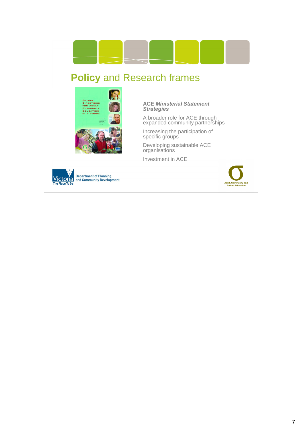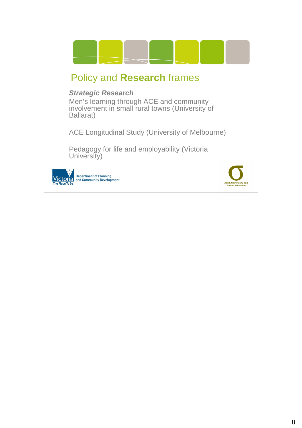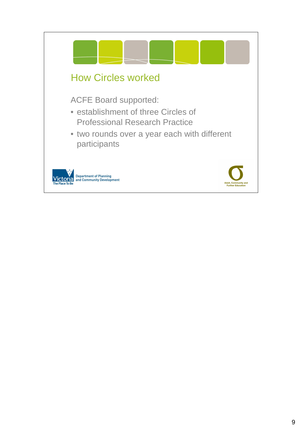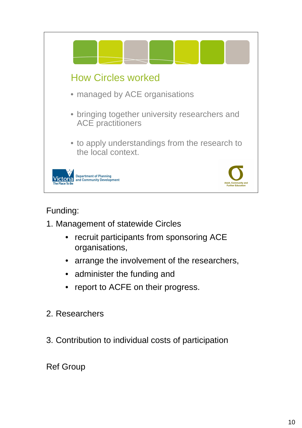

## Funding:

- 1. Management of statewide Circles
	- recruit participants from sponsoring ACE organisations,
	- arrange the involvement of the researchers,
	- administer the funding and
	- report to ACFE on their progress.
- 2. Researchers
- 3. Contribution to individual costs of participation

Ref Group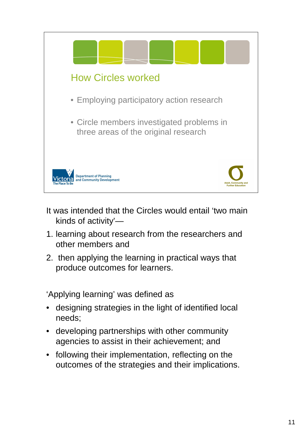

- It was intended that the Circles would entail 'two main kinds of activity'—
- 1. learning about research from the researchers and other members and
- 2. then applying the learning in practical ways that produce outcomes for learners.

'Applying learning' was defined as

- designing strategies in the light of identified local needs;
- developing partnerships with other community agencies to assist in their achievement; and
- following their implementation, reflecting on the outcomes of the strategies and their implications.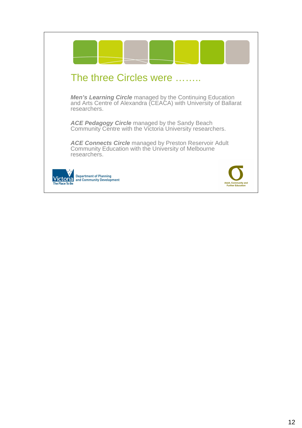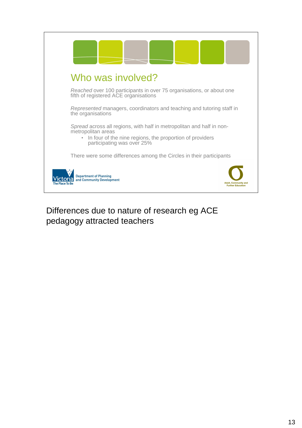

## Differences due to nature of research eg ACE pedagogy attracted teachers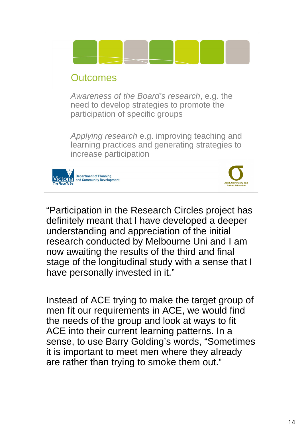

"Participation in the Research Circles project has definitely meant that I have developed a deeper understanding and appreciation of the initial research conducted by Melbourne Uni and I am now awaiting the results of the third and final stage of the longitudinal study with a sense that I have personally invested in it."

Instead of ACE trying to make the target group of men fit our requirements in ACE, we would find the needs of the group and look at ways to fit ACE into their current learning patterns. In a sense, to use Barry Golding's words, "Sometimes it is important to meet men where they already are rather than trying to smoke them out."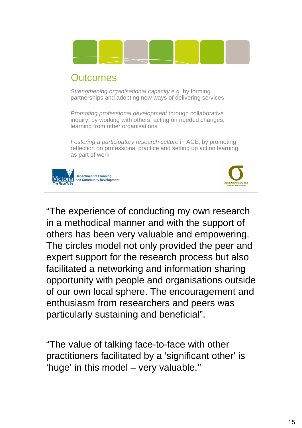

"The experience of conducting my own research in a methodical manner and with the support of others has been very valuable and empowering. The circles model not only provided the peer and expert support for the research process but also facilitated a networking and information sharing opportunity with people and organisations outside of our own local sphere. The encouragement and enthusiasm from researchers and peers was particularly sustaining and beneficial".

"The value of talking face-to-face with other practitioners facilitated by a 'significant other' is 'huge' in this model – very valuable.''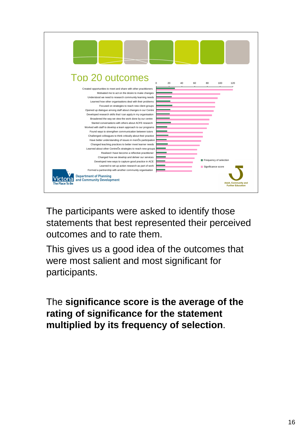

The participants were asked to identify those statements that best represented their perceived outcomes and to rate them.

This gives us a good idea of the outcomes that were most salient and most significant for participants.

The **significance score is the average of the rating of significance for the statement multiplied by its frequency of selection**.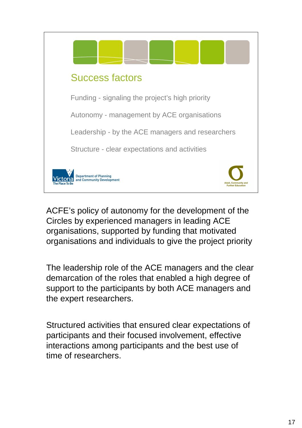

ACFE's policy of autonomy for the development of the Circles by experienced managers in leading ACE organisations, supported by funding that motivated organisations and individuals to give the project priority

The leadership role of the ACE managers and the clear demarcation of the roles that enabled a high degree of support to the participants by both ACE managers and the expert researchers.

Structured activities that ensured clear expectations of participants and their focused involvement, effective interactions among participants and the best use of time of researchers.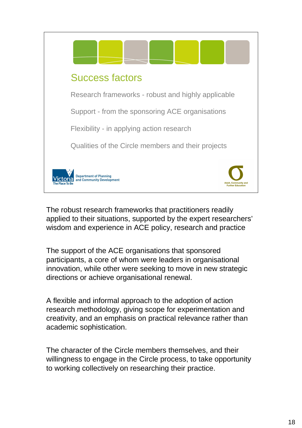

The robust research frameworks that practitioners readily applied to their situations, supported by the expert researchers' wisdom and experience in ACE policy, research and practice

The support of the ACE organisations that sponsored participants, a core of whom were leaders in organisational innovation, while other were seeking to move in new strategic directions or achieve organisational renewal.

A flexible and informal approach to the adoption of action research methodology, giving scope for experimentation and creativity, and an emphasis on practical relevance rather than academic sophistication.

The character of the Circle members themselves, and their willingness to engage in the Circle process, to take opportunity to working collectively on researching their practice.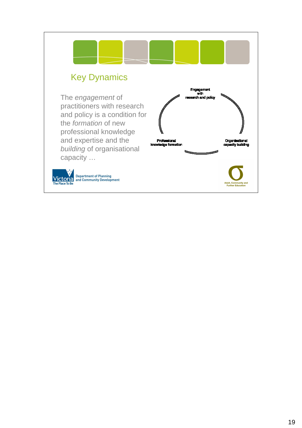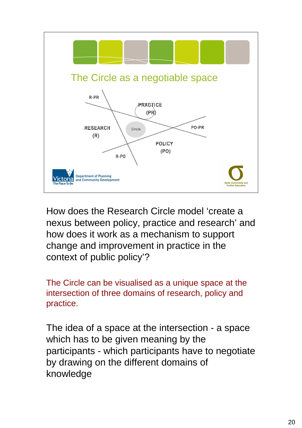

How does the Research Circle model 'create a nexus between policy, practice and research' and how does it work as a mechanism to support change and improvement in practice in the context of public policy'?

The Circle can be visualised as a unique space at the intersection of three domains of research, policy and practice.

The idea of a space at the intersection - a space which has to be given meaning by the participants - which participants have to negotiate by drawing on the different domains of knowledge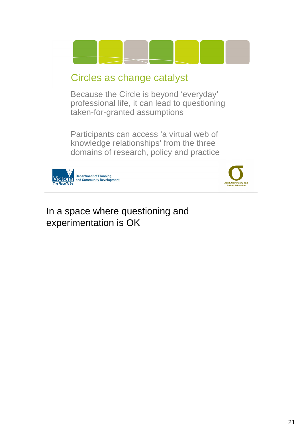

# In a space where questioning and experimentation is OK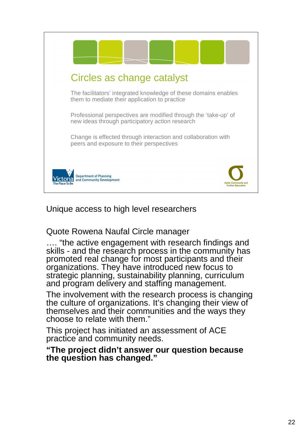

## Unique access to high level researchers

Quote Rowena Naufal Circle manager

…. "the active engagement with research findings and skills - and the research process in the community has promoted real change for most participants and their organizations. They have introduced new focus to strategic planning, sustainability planning, curriculum and program delivery and staffing management.

The involvement with the research process is changing the culture of organizations. It's changing their view of themselves and their communities and the ways they choose to relate with them."

This project has initiated an assessment of ACE practice and community needs.

**"The project didn't answer our question because the question has changed."**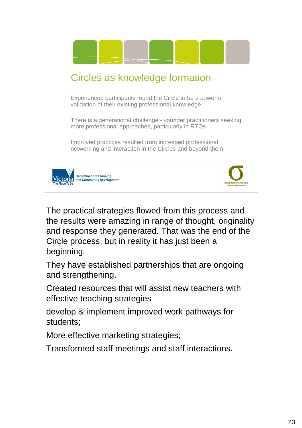

The practical strategies flowed from this process and the results were amazing in range of thought, originality and response they generated. That was the end of the Circle process, but in reality it has just been a beginning.

They have established partnerships that are ongoing and strengthening.

Created resources that will assist new teachers with effective teaching strategies

develop & implement improved work pathways for students;

More effective marketing strategies;

Transformed staff meetings and staff interactions.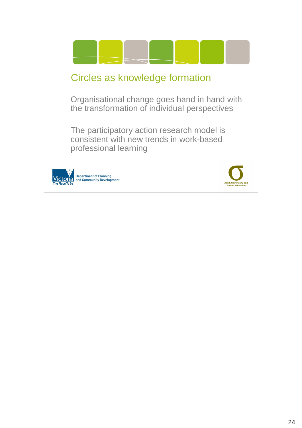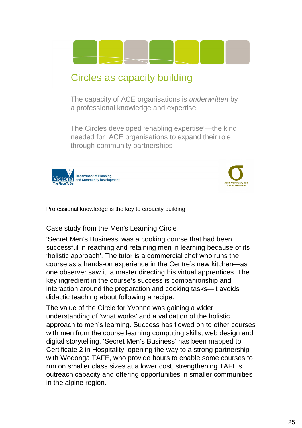

Professional knowledge is the key to capacity building

#### Case study from the Men's Learning Circle

'Secret Men's Business' was a cooking course that had been successful in reaching and retaining men in learning because of its 'holistic approach'. The tutor is a commercial chef who runs the course as a hands-on experience in the Centre's new kitchen—as one observer saw it, a master directing his virtual apprentices. The key ingredient in the course's success is companionship and interaction around the preparation and cooking tasks—it avoids didactic teaching about following a recipe.

The value of the Circle for Yvonne was gaining a wider understanding of 'what works' and a validation of the holistic approach to men's learning. Success has flowed on to other courses with men from the course learning computing skills, web design and digital storytelling. 'Secret Men's Business' has been mapped to Certificate 2 in Hospitality, opening the way to a strong partnership with Wodonga TAFE, who provide hours to enable some courses to run on smaller class sizes at a lower cost, strengthening TAFE's outreach capacity and offering opportunities in smaller communities in the alpine region.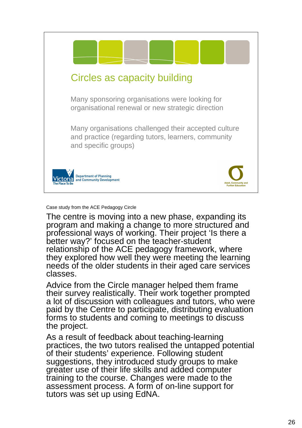

Case study from the ACE Pedagogy Circle

The centre is moving into a new phase, expanding its program and making a change to more structured and professional ways of working. Their project 'Is there a better way?' focused on the teacher-student relationship of the ACE pedagogy framework, where they explored how well they were meeting the learning needs of the older students in their aged care services classes.

Advice from the Circle manager helped them frame their survey realistically. Their work together prompted a lot of discussion with colleagues and tutors, who were paid by the Centre to participate, distributing evaluation forms to students and coming to meetings to discuss the project.

As a result of feedback about teaching-learning practices, the two tutors realised the untapped potential of their students' experience. Following student suggestions, they introduced study groups to make greater use of their life skills and added computer training to the course. Changes were made to the assessment process. A form of on-line support for tutors was set up using EdNA.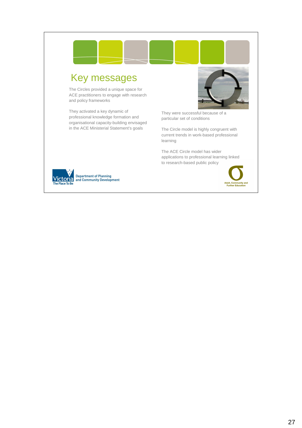# Key messages

The Circles provided a unique space for ACE practitioners to engage with research and policy frameworks

They activated a key dynamic of professional knowledge formation and organisational capacity-building envisaged in the ACE Ministerial Statement's goals

They were successful because of a particular set of conditions

The Circle model is highly congruent with current trends in work-based professional learning

The ACE Circle model has wider applications to professional learning linked to research-based public policy



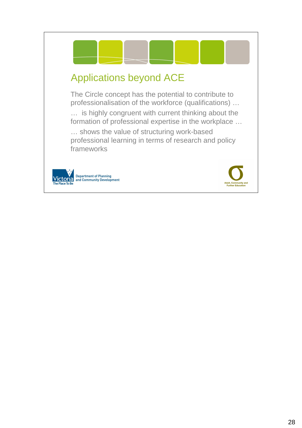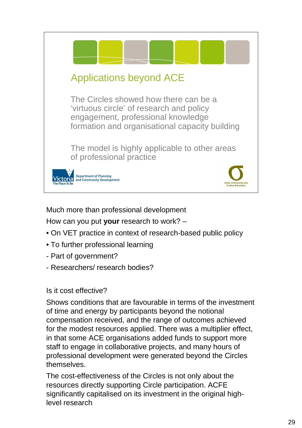

### Much more than professional development

How can you put **your** research to work? –

- On VET practice in context of research-based public policy
- To further professional learning
- Part of government?
- Researchers/ research bodies?

#### Is it cost effective?

Shows conditions that are favourable in terms of the investment of time and energy by participants beyond the notional compensation received, and the range of outcomes achieved for the modest resources applied. There was a multiplier effect, in that some ACE organisations added funds to support more staff to engage in collaborative projects, and many hours of professional development were generated beyond the Circles themselves.

The cost-effectiveness of the Circles is not only about the resources directly supporting Circle participation. ACFE significantly capitalised on its investment in the original highlevel research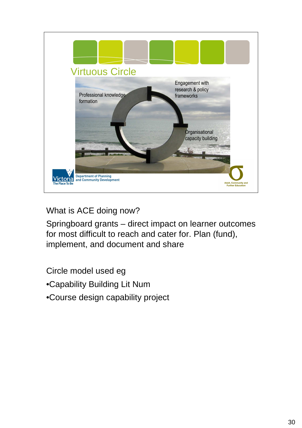

What is ACE doing now?

Springboard grants – direct impact on learner outcomes for most difficult to reach and cater for. Plan (fund), implement, and document and share

Circle model used eg

•Capability Building Lit Num

•Course design capability project